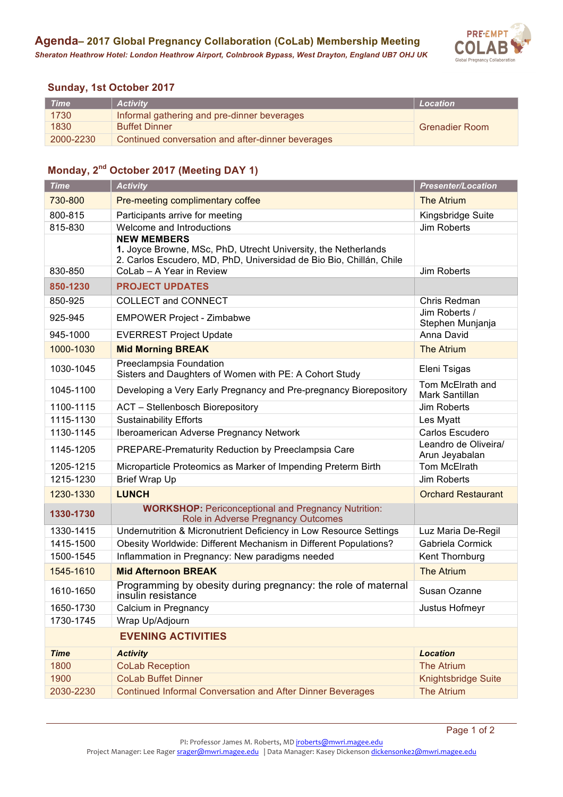

## **Sunday, 1st October 2017**

| <b>Time</b> | <b>Activity</b>                                   | Location              |
|-------------|---------------------------------------------------|-----------------------|
| 1730        | Informal gathering and pre-dinner beverages       |                       |
| 1830        | <b>Buffet Dinner</b>                              | <b>Grenadier Room</b> |
| 2000-2230   | Continued conversation and after-dinner beverages |                       |

## **Monday, 2nd October 2017 (Meeting DAY 1)**

| <b>Time</b>               | <b>Activity</b>                                                                                                                                             | <b>Presenter/Location</b>              |  |
|---------------------------|-------------------------------------------------------------------------------------------------------------------------------------------------------------|----------------------------------------|--|
| 730-800                   | Pre-meeting complimentary coffee                                                                                                                            | <b>The Atrium</b>                      |  |
| 800-815                   | Participants arrive for meeting                                                                                                                             | Kingsbridge Suite                      |  |
| 815-830                   | Welcome and Introductions                                                                                                                                   | Jim Roberts                            |  |
|                           | <b>NEW MEMBERS</b><br>1. Joyce Browne, MSc, PhD, Utrecht University, the Netherlands<br>2. Carlos Escudero, MD, PhD, Universidad de Bio Bio, Chillán, Chile |                                        |  |
| 830-850                   | CoLab - A Year in Review                                                                                                                                    | Jim Roberts                            |  |
| 850-1230                  | <b>PROJECT UPDATES</b>                                                                                                                                      |                                        |  |
| 850-925                   | <b>COLLECT and CONNECT</b>                                                                                                                                  | Chris Redman                           |  |
| 925-945                   | <b>EMPOWER Project - Zimbabwe</b>                                                                                                                           | Jim Roberts /<br>Stephen Munjanja      |  |
| 945-1000                  | <b>EVERREST Project Update</b>                                                                                                                              | Anna David                             |  |
| 1000-1030                 | <b>Mid Morning BREAK</b>                                                                                                                                    | <b>The Atrium</b>                      |  |
| 1030-1045                 | Preeclampsia Foundation<br>Sisters and Daughters of Women with PE: A Cohort Study                                                                           | Eleni Tsigas                           |  |
| 1045-1100                 | Developing a Very Early Pregnancy and Pre-pregnancy Biorepository                                                                                           | Tom McElrath and<br>Mark Santillan     |  |
| 1100-1115                 | <b>ACT</b> - Stellenbosch Biorepository                                                                                                                     | Jim Roberts                            |  |
| 1115-1130                 | <b>Sustainability Efforts</b>                                                                                                                               | Les Myatt                              |  |
| 1130-1145                 | Iberoamerican Adverse Pregnancy Network                                                                                                                     | Carlos Escudero                        |  |
| 1145-1205                 | PREPARE-Prematurity Reduction by Preeclampsia Care                                                                                                          | Leandro de Oliveira/<br>Arun Jeyabalan |  |
| 1205-1215                 | Microparticle Proteomics as Marker of Impending Preterm Birth                                                                                               | Tom McElrath                           |  |
| 1215-1230                 | <b>Brief Wrap Up</b>                                                                                                                                        | <b>Jim Roberts</b>                     |  |
| 1230-1330                 | <b>LUNCH</b>                                                                                                                                                | <b>Orchard Restaurant</b>              |  |
| 1330-1730                 | <b>WORKSHOP: Periconceptional and Pregnancy Nutrition:</b><br>Role in Adverse Pregnancy Outcomes                                                            |                                        |  |
| 1330-1415                 | Undernutrition & Micronutrient Deficiency in Low Resource Settings                                                                                          | Luz Maria De-Regil                     |  |
| 1415-1500                 | Obesity Worldwide: Different Mechanism in Different Populations?                                                                                            | Gabriela Cormick                       |  |
| 1500-1545                 | Inflammation in Pregnancy: New paradigms needed                                                                                                             | Kent Thornburg                         |  |
| 1545-1610                 | <b>Mid Afternoon BREAK</b>                                                                                                                                  | <b>The Atrium</b>                      |  |
| 1610-1650                 | Programming by obesity during pregnancy: the role of maternal<br>insulin resistance                                                                         | Susan Ozanne                           |  |
| 1650-1730                 | Calcium in Pregnancy                                                                                                                                        | Justus Hofmeyr                         |  |
| 1730-1745                 | Wrap Up/Adjourn                                                                                                                                             |                                        |  |
| <b>EVENING ACTIVITIES</b> |                                                                                                                                                             |                                        |  |
| <b>Time</b>               | <b>Activity</b>                                                                                                                                             | <b>Location</b>                        |  |
| 1800                      | <b>CoLab Reception</b>                                                                                                                                      | <b>The Atrium</b>                      |  |
| 1900                      | <b>CoLab Buffet Dinner</b>                                                                                                                                  | Knightsbridge Suite                    |  |
| 2030-2230                 | <b>Continued Informal Conversation and After Dinner Beverages</b>                                                                                           | <b>The Atrium</b>                      |  |